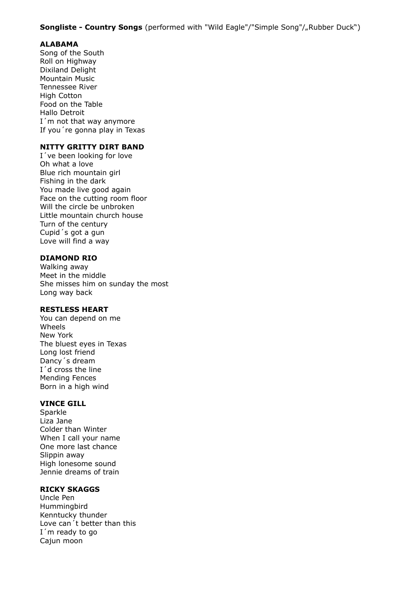### **Songliste - Country Songs** (performed with "Wild Eagle"/"Simple Song"/"Rubber Duck")

# **ALABAMA**

Song of the South Roll on Highway Dixiland Delight Mountain Music Tennessee River High Cotton Food on the Table Hallo Detroit I'm not that way anymore If you´re gonna play in Texas

### **NITTY GRITTY DIRT BAND**

I´ve been looking for love Oh what a love Blue rich mountain girl Fishing in the dark You made live good again Face on the cutting room floor Will the circle be unbroken Little mountain church house Turn of the century Cupid´s got a gun Love will find a way

### **DIAMOND RIO**

Walking away Meet in the middle She misses him on sunday the most Long way back

### **RESTLESS HEART**

You can depend on me Wheels New York The bluest eyes in Texas Long lost friend Dancy´s dream I´d cross the line Mending Fences Born in a high wind

#### **VINCE GILL**

Sparkle Liza Jane Colder than Winter When I call your name One more last chance Slippin away High lonesome sound Jennie dreams of train

# **RICKY SKAGGS**

Uncle Pen Hummingbird Kenntucky thunder Love can´t better than this I´m ready to go Cajun moon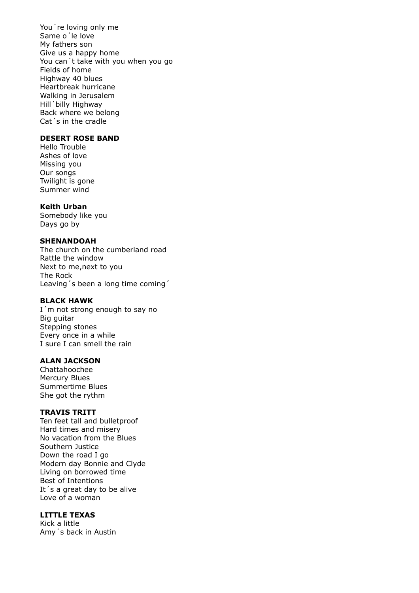You´re loving only me Same o´le love My fathers son Give us a happy home You can´t take with you when you go Fields of home Highway 40 blues Heartbreak hurricane Walking in Jerusalem Hill´billy Highway Back where we belong Cat´s in the cradle

# **DESERT ROSE BAND**

Hello Trouble Ashes of love Missing you Our songs Twilight is gone Summer wind

#### **Keith Urban**

Somebody like you Days go by

#### **SHENANDOAH**

The church on the cumberland road Rattle the window Next to me,next to you The Rock Leaving´s been a long time coming´

#### **BLACK HAWK**

I'm not strong enough to say no Big guitar Stepping stones Every once in a while I sure I can smell the rain

# **ALAN JACKSON**

Chattahoochee Mercury Blues Summertime Blues She got the rythm

### **TRAVIS TRITT**

Ten feet tall and bulletproof Hard times and misery No vacation from the Blues Southern Justice Down the road I go Modern day Bonnie and Clyde Living on borrowed time Best of Intentions It´s a great day to be alive Love of a woman

# **LITTLE TEXAS**

Kick a little Amy´s back in Austin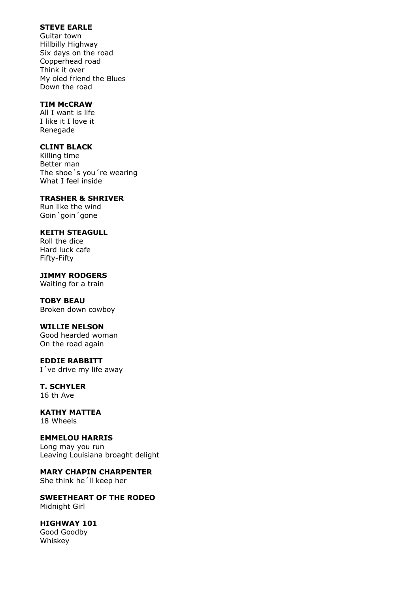# **STEVE EARLE**

Guitar town Hillbilly Highway Six days on the road Copperhead road Think it over My oled friend the Blues Down the road

### **TIM McCRAW**

All I want is life I like it I love it Renegade

### **CLINT BLACK**

Killing time Better man The shoe´s you´re wearing What I feel inside

# **TRASHER & SHRIVER**

Run like the wind Goin´goin´gone

# **KEITH STEAGULL**

Roll the dice Hard luck cafe Fifty-Fifty

**JIMMY RODGERS**

Waiting for a train

# **TOBY BEAU**

Broken down cowboy

# **WILLIE NELSON**

Good hearded woman On the road again

#### **EDDIE RABBITT**  I´ve drive my life away

# **T. SCHYLER**

16 th Ave

#### **KATHY MATTEA** 18 Wheels

#### **EMMELOU HARRIS** Long may you run Leaving Louisiana broaght delight

**MARY CHAPIN CHARPENTER**

She think he´ll keep her

### **SWEETHEART OF THE RODEO** Midnight Girl

# **HIGHWAY 101**

Good Goodby Whiskey